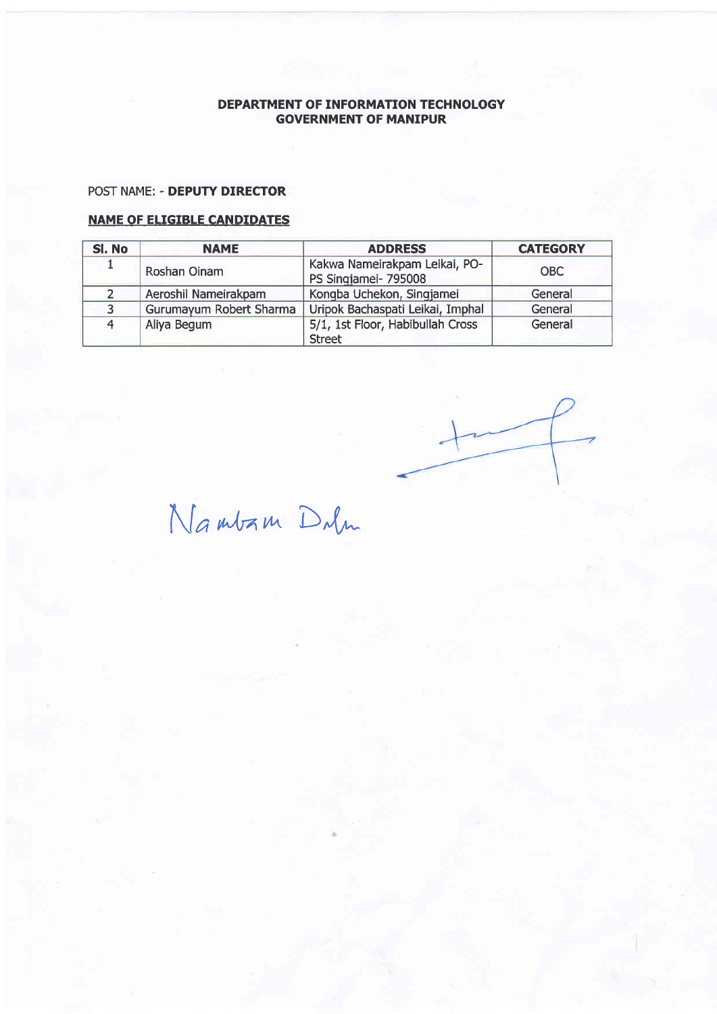#### POST NAME: - DEPUTY DIRECTOR

| SI. No | <b>NAME</b>             | <b>ADDRESS</b>                                        | <b>CATEGORY</b> |
|--------|-------------------------|-------------------------------------------------------|-----------------|
|        | Roshan Oinam            | Kakwa Nameirakpam Leikai, PO-<br>PS Singjamei- 795008 | <b>OBC</b>      |
|        | Aeroshil Nameirakpam    | Kongba Uchekon, Singjamei                             | General         |
|        | Gurumayum Robert Sharma | Uripok Bachaspati Leikai, Imphal                      | General         |
|        | Aliya Begum             | 5/1, 1st Floor, Habibullah Cross                      | General         |
|        |                         | <b>Street</b>                                         |                 |

 $N$ Gambam Dulm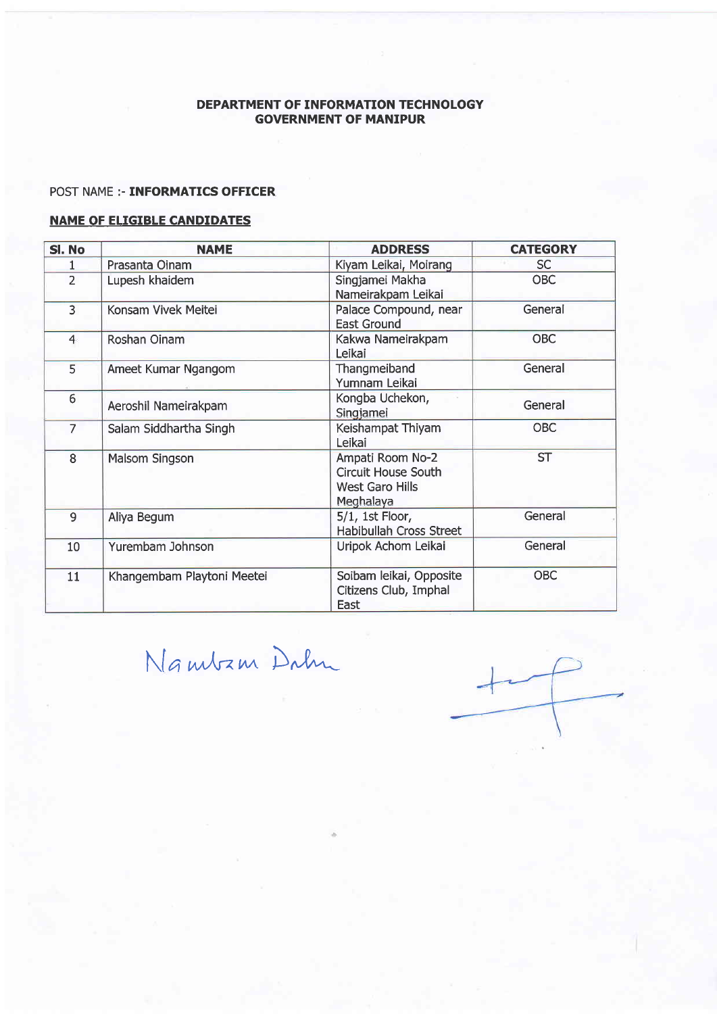# POST NAME :- **INFORMATICS OFFICER**

| Sl. No          | <b>NAME</b>                | <b>ADDRESS</b>                                                                                           | <b>CATEGORY</b> |
|-----------------|----------------------------|----------------------------------------------------------------------------------------------------------|-----------------|
|                 | Prasanta Oinam             | Kiyam Leikai, Moirang                                                                                    | <b>SC</b>       |
| $\overline{2}$  | Lupesh khaidem             | Singjamei Makha<br>Nameirakpam Leikai                                                                    | <b>OBC</b>      |
| $\overline{3}$  | Konsam Vivek Meitei        | Palace Compound, near<br><b>East Ground</b>                                                              | General         |
| $\overline{4}$  | Roshan Oinam               | Kakwa Nameirakpam<br>Leikai                                                                              | <b>OBC</b>      |
| 5               | Ameet Kumar Ngangom        | Thangmeiband<br>Yumnam Leikai                                                                            | General         |
| $6 \overline{}$ | Aeroshil Nameirakpam       | Kongba Uchekon,<br>Singjamei                                                                             | General         |
| $\overline{7}$  | Salam Siddhartha Singh     | Keishampat Thiyam<br>Leikai                                                                              | <b>OBC</b>      |
| 8               | <b>Malsom Singson</b>      | Ampati Room No-2<br><b>Circuit House South</b><br><b>West Garo Hills</b><br>Meghalaya                    | <b>ST</b>       |
| $\overline{9}$  | Aliya Begum                | $5/1$ , 1st Floor,<br>Habibullah Cross Street                                                            | General         |
| 10              | Yurembam Johnson           | General<br>Uripok Achom Leikai<br><b>OBC</b><br>Soibam leikai, Opposite<br>Citizens Club, Imphal<br>East |                 |
| 11              | Khangembam Playtoni Meetei |                                                                                                          |                 |

\[a tnJrnv^ D"l--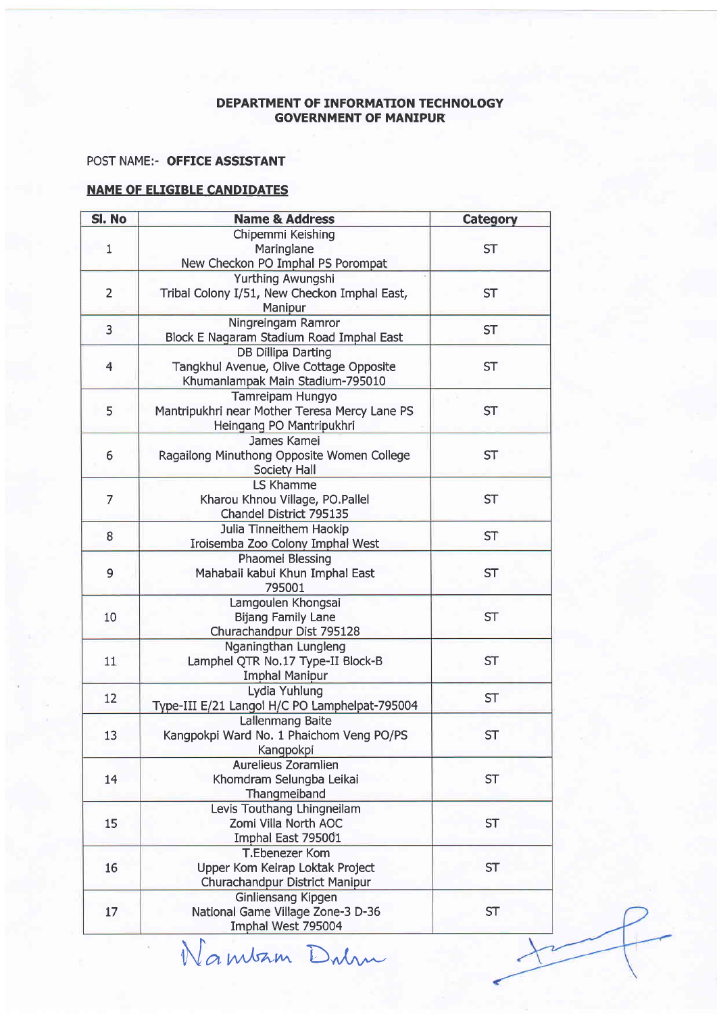#### POST NAME:- OFFICE ASSISTANT

| SI. No         | <b>Name &amp; Address</b>                                                                                         | Category  |  |
|----------------|-------------------------------------------------------------------------------------------------------------------|-----------|--|
| 1              | Chipemmi Keishing<br>Maringlane                                                                                   | <b>ST</b> |  |
| $\overline{2}$ | New Checkon PO Imphal PS Porompat<br>Yurthing Awungshi<br>Tribal Colony I/51, New Checkon Imphal East,<br>Manipur | <b>ST</b> |  |
| 3              | Ningreingam Ramror<br>Block E Nagaram Stadium Road Imphal East                                                    | <b>ST</b> |  |
| $\overline{4}$ | <b>DB Dillipa Darting</b><br>Tangkhul Avenue, Olive Cottage Opposite<br>Khumanlampak Main Stadium-795010          | <b>ST</b> |  |
| 5              | Tamreipam Hungyo<br>Mantripukhri near Mother Teresa Mercy Lane PS<br>Heingang PO Mantripukhri                     | <b>ST</b> |  |
| 6              | <b>James Kamei</b><br>Ragailong Minuthong Opposite Women College<br>Society Hall                                  | <b>ST</b> |  |
| 7              | <b>LS Khamme</b><br>Kharou Khnou Village, PO.Pallel<br>Chandel District 795135                                    | <b>ST</b> |  |
| 8              | Julia Tinneithem Haokip<br>Iroisemba Zoo Colony Imphal West                                                       | <b>ST</b> |  |
| 9              | Phaomei Blessing<br>Mahabali kabui Khun Imphal East<br>795001                                                     | <b>ST</b> |  |
| 10             | Lamgoulen Khongsai<br><b>Bijang Family Lane</b><br>Churachandpur Dist 795128                                      | <b>ST</b> |  |
| 11             | Nganingthan Lungleng<br>Lamphel QTR No.17 Type-II Block-B<br><b>Imphal Manipur</b>                                | <b>ST</b> |  |
| 12             | Lydia Yuhlung<br>Type-III E/21 Langol H/C PO Lamphelpat-795004                                                    | <b>ST</b> |  |
| 13             | <b>Lallenmang Baite</b><br>Kangpokpi Ward No. 1 Phaichom Veng PO/PS<br>Kangpokpi                                  | <b>ST</b> |  |
| 14             | Aurelieus Zoramlien<br>Khomdram Selungba Leikai<br>Thangmeiband                                                   | <b>ST</b> |  |
| 15             | Levis Touthang Lhingneilam<br>Zomi Villa North AOC<br>Imphal East 795001                                          | <b>ST</b> |  |
| 16             | <b>T.Ebenezer Kom</b><br>Upper Kom Keirap Loktak Project<br>Churachandpur District Manipur                        | <b>ST</b> |  |
| 17             | <b>Ginliensang Kipgen</b><br>National Game Village Zone-3 D-36<br>Imphal West 795004                              | <b>ST</b> |  |

Wamban Dulm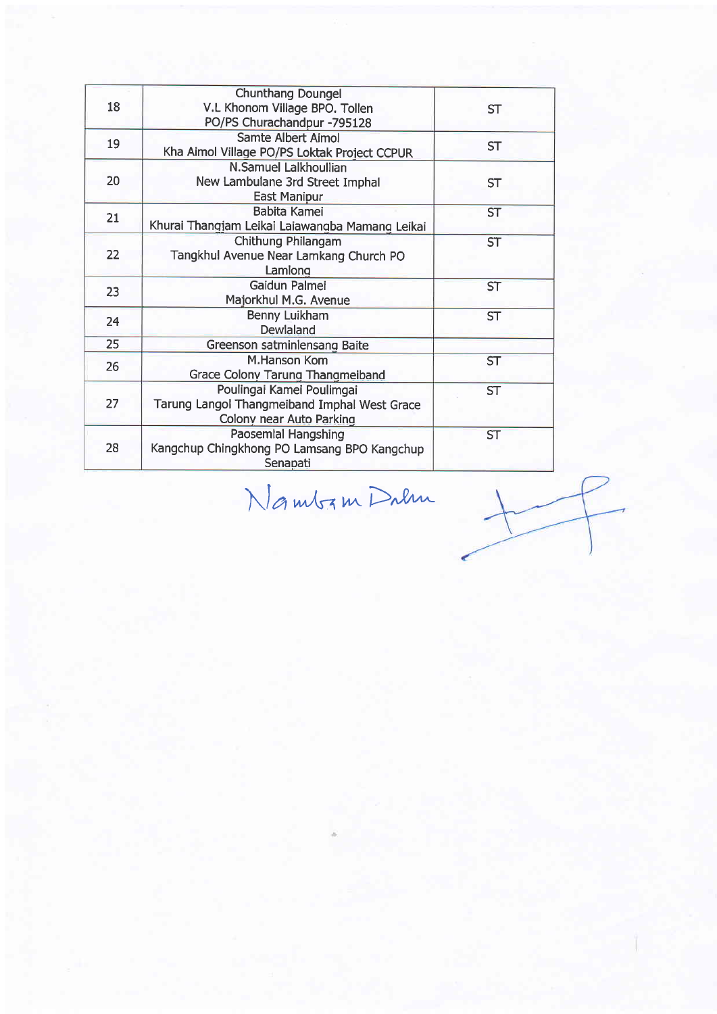| 18 | <b>Chunthang Doungel</b><br>V.L Khonom Village BPO. Tollen<br>PO/PS Churachandpur -795128             | <b>ST</b> |
|----|-------------------------------------------------------------------------------------------------------|-----------|
| 19 | Samte Albert Aimol<br>Kha Aimol Village PO/PS Loktak Project CCPUR                                    | <b>ST</b> |
| 20 | N.Samuel Lalkhoullian<br>New Lambulane 3rd Street Imphal<br><b>East Manipur</b>                       | <b>ST</b> |
| 21 | Babita Kamei<br>Khurai Thangjam Leikai Laiawangba Mamang Leikai                                       | <b>ST</b> |
| 22 | Chithung Philangam<br>Tangkhul Avenue Near Lamkang Church PO<br>Lamiong                               | <b>ST</b> |
| 23 | Gaidun Palmei<br>Majorkhul M.G. Avenue                                                                | <b>ST</b> |
| 24 | Benny Luikham<br>Dewlaland                                                                            | <b>ST</b> |
| 25 | Greenson satminlensang Baite                                                                          |           |
| 26 | <b>M.Hanson Kom</b><br>Grace Colony Tarung Thangmeiband                                               | <b>ST</b> |
| 27 | Poulingai Kamei Poulimgai<br>Tarung Langol Thangmeiband Imphal West Grace<br>Colony near Auto Parking | <b>ST</b> |
| 28 | Paosemlal Hangshing<br>Kangchup Chingkhong PO Lamsang BPO Kangchup<br>Senapati                        | <b>ST</b> |

 $N$ a mbz m Dalm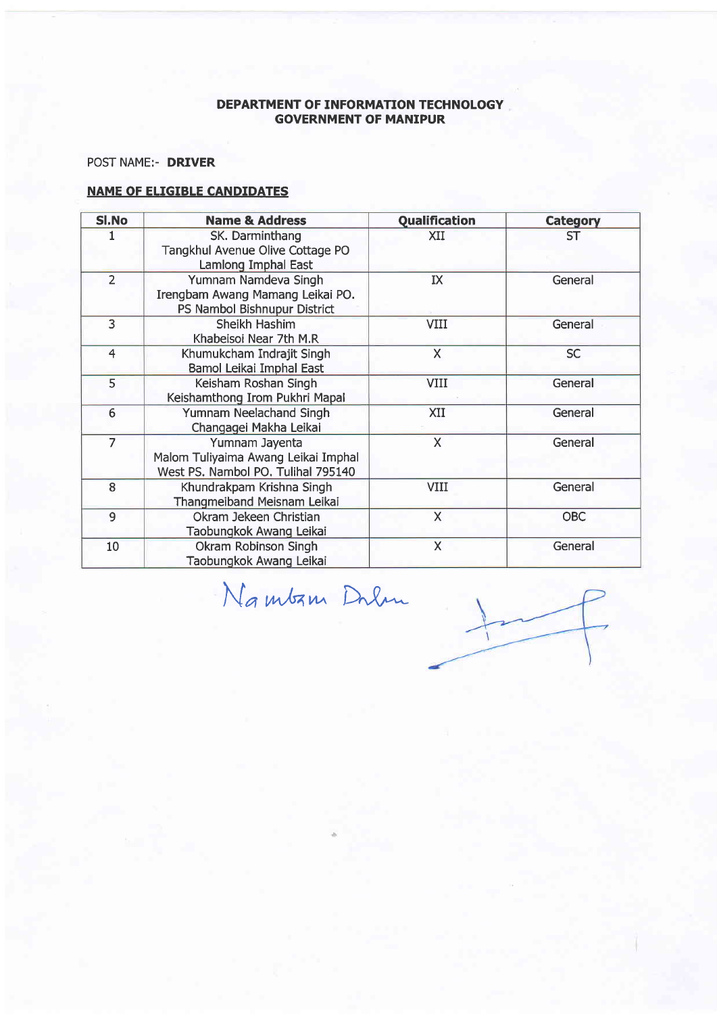# POST NAME:- DRIVER

| SI.No          | <b>Name &amp; Address</b>                                                                   | <b>Qualification</b>    | <b>Category</b> |
|----------------|---------------------------------------------------------------------------------------------|-------------------------|-----------------|
|                | SK. Darminthang<br>Tangkhul Avenue Olive Cottage PO<br>Lamlong Imphal East                  | XII                     | ST              |
| $\overline{2}$ | Yumnam Namdeva Singh<br>Irengbam Awang Mamang Leikai PO.<br>PS Nambol Bishnupur District    | IX                      | General         |
| $\overline{3}$ | Sheikh Hashim<br>Khabeisoi Near 7th M.R                                                     | VIII                    | General         |
| 4              | Khumukcham Indrajit Singh<br>Bamol Leikai Imphal East                                       | X                       | <b>SC</b>       |
| 5              | Keisham Roshan Singh<br>Keishamthong Irom Pukhri Mapal                                      | VIII                    | General         |
| 6              | Yumnam Neelachand Singh<br>Changagei Makha Leikai                                           | XII                     | General         |
| $\overline{7}$ | Yumnam Jayenta<br>Malom Tuliyaima Awang Leikai Imphal<br>West PS. Nambol PO. Tulihal 795140 | $\mathsf{X}$            | General         |
| $\overline{8}$ | Khundrakpam Krishna Singh<br>Thangmeiband Meisnam Leikai                                    | VIII                    | General         |
| 9              | Okram Jekeen Christian<br>Taobungkok Awang Leikai                                           | $\mathsf{X}$            | <b>OBC</b>      |
| 10             | Okram Robinson Singh<br>Taobungkok Awang Leikai                                             | $\overline{\mathsf{X}}$ | General         |

Namban Dalm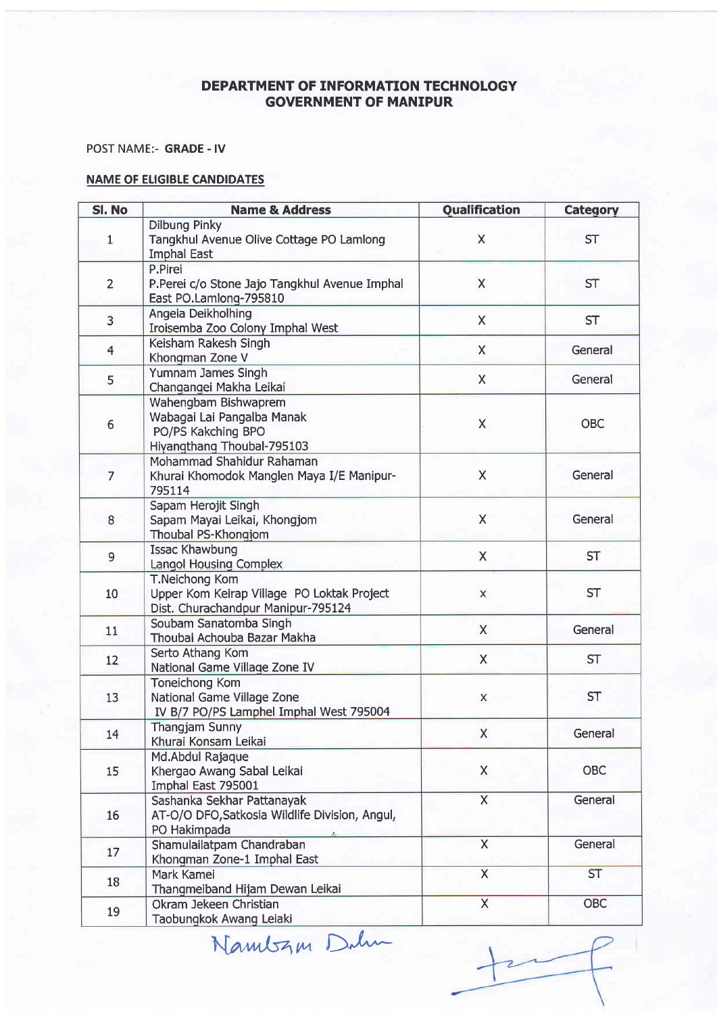POST NAME:- GRADE - IV

| SI. No         | <b>Name &amp; Address</b>                                                                                 | <b>Qualification</b>    | <b>Category</b> |
|----------------|-----------------------------------------------------------------------------------------------------------|-------------------------|-----------------|
| $\mathbf{1}$   | <b>Dilbung Pinky</b><br>Tangkhul Avenue Olive Cottage PO Lamlong<br><b>Imphal East</b>                    | $\mathsf X$             | <b>ST</b>       |
| $\overline{2}$ | P.Pirei<br>P.Perei c/o Stone Jajo Tangkhul Avenue Imphal<br>East PO.Lamlong-795810                        | X                       | <b>ST</b>       |
| $\overline{3}$ | Angela Deikholhing<br>Iroisemba Zoo Colony Imphal West                                                    | X                       | <b>ST</b>       |
| $\overline{4}$ | Keisham Rakesh Singh<br>Khongman Zone V                                                                   | $\times$                | General         |
| 5              | Yumnam James Singh<br>Changangei Makha Leikai                                                             | X                       | General         |
| 6              | Wahengbam Bishwaprem<br>Wabagai Lai Pangalba Manak<br>PO/PS Kakching BPO<br>Hiyangthang Thoubal-795103    | X                       | <b>OBC</b>      |
| $\overline{7}$ | Mohammad Shahidur Rahaman<br>Khurai Khomodok Manglen Maya I/E Manipur-<br>795114                          | X                       | General         |
| 8              | Sapam Herojit Singh<br>Sapam Mayai Leikai, Khongjom<br>Thoubal PS-Khongjom                                | X                       | General         |
| 9              | <b>Issac Khawbung</b><br><b>Langol Housing Complex</b>                                                    | X                       | <b>ST</b>       |
| 10             | <b>T.Neichong Kom</b><br>Upper Kom Keirap Village PO Loktak Project<br>Dist. Churachandpur Manipur-795124 | X.                      | <b>ST</b>       |
| 11             | Soubam Sanatomba Singh<br>Thoubal Achouba Bazar Makha                                                     | $\mathsf{X}$            | General         |
| 12             | Serto Athang Kom<br>National Game Village Zone IV                                                         | $\mathsf{X}$            | <b>ST</b>       |
| 13             | Toneichong Kom<br>National Game Village Zone<br>IV B/7 PO/PS Lamphel Imphal West 795004                   | X                       | <b>ST</b>       |
| 14             | Thangjam Sunny<br>Khurai Konsam Leikai                                                                    | X                       | General         |
| 15             | Md.Abdul Rajaque<br>Khergao Awang Sabal Leikai<br>Imphal East 795001                                      | X                       | <b>OBC</b>      |
| 16             | Sashanka Sekhar Pattanayak<br>AT-O/O DFO, Satkosia Wildlife Division, Angul,<br>PO Hakimpada              | $\overline{\mathsf{X}}$ | General         |
| 17             | Shamulailatpam Chandraban<br>Khongman Zone-1 Imphal East                                                  | $\mathsf{X}$            | General         |
| 18             | Mark Kamei<br>Thangmeiband Hijam Dewan Leikai                                                             | $\overline{\mathsf{X}}$ | <b>ST</b>       |
| 19             | Okram Jekeen Christian<br>Taobungkok Awang Lejaki                                                         | $\overline{\mathsf{x}}$ | <b>OBC</b>      |

Taobungkok Awang Leiaki<br>Nambz<sub>i</sub>m Dah